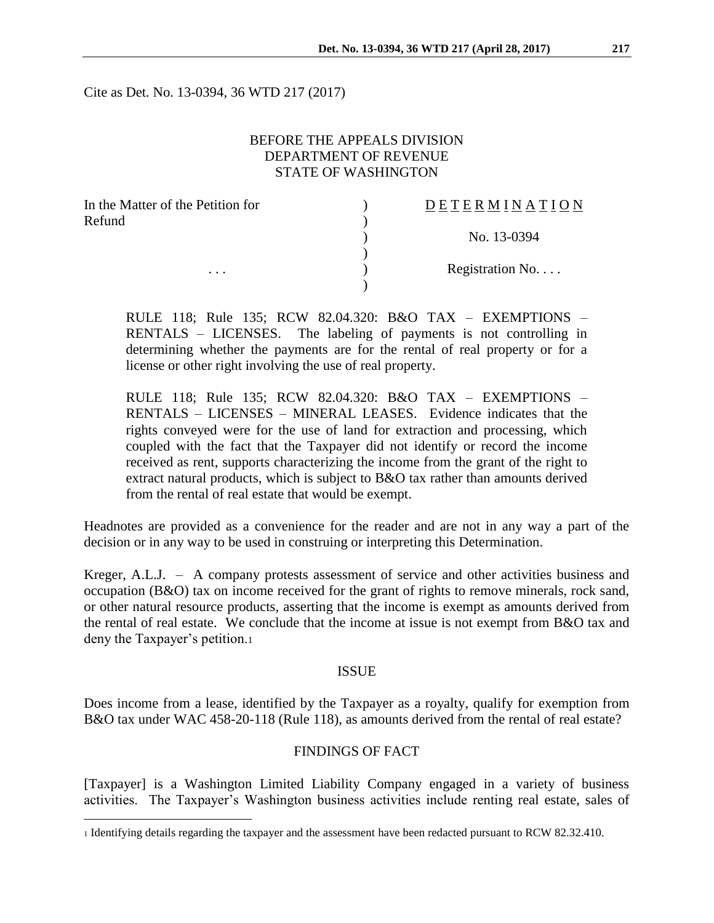Cite as Det. No. 13-0394, 36 WTD 217 (2017)

# BEFORE THE APPEALS DIVISION DEPARTMENT OF REVENUE STATE OF WASHINGTON

| In the Matter of the Petition for | <b>DETERMINATION</b> |
|-----------------------------------|----------------------|
| Refund                            |                      |
|                                   | No. 13-0394          |
|                                   |                      |
| $\cdots$                          | Registration No      |
|                                   |                      |

RULE 118; Rule 135; RCW 82.04.320: B&O TAX – EXEMPTIONS – RENTALS – LICENSES. The labeling of payments is not controlling in determining whether the payments are for the rental of real property or for a license or other right involving the use of real property.

RULE 118; Rule 135; RCW 82.04.320: B&O TAX – EXEMPTIONS – RENTALS – LICENSES – MINERAL LEASES. Evidence indicates that the rights conveyed were for the use of land for extraction and processing, which coupled with the fact that the Taxpayer did not identify or record the income received as rent, supports characterizing the income from the grant of the right to extract natural products, which is subject to B&O tax rather than amounts derived from the rental of real estate that would be exempt.

Headnotes are provided as a convenience for the reader and are not in any way a part of the decision or in any way to be used in construing or interpreting this Determination.

Kreger, A.L.J. – A company protests assessment of service and other activities business and occupation (B&O) tax on income received for the grant of rights to remove minerals, rock sand, or other natural resource products, asserting that the income is exempt as amounts derived from the rental of real estate. We conclude that the income at issue is not exempt from B&O tax and deny the Taxpayer's petition.<sup>1</sup>

#### ISSUE

Does income from a lease, identified by the Taxpayer as a royalty, qualify for exemption from B&O tax under WAC 458-20-118 (Rule 118), as amounts derived from the rental of real estate?

### FINDINGS OF FACT

[Taxpayer] is a Washington Limited Liability Company engaged in a variety of business activities. The Taxpayer's Washington business activities include renting real estate, sales of

 $\overline{a}$ 

<sup>1</sup> Identifying details regarding the taxpayer and the assessment have been redacted pursuant to RCW 82.32.410.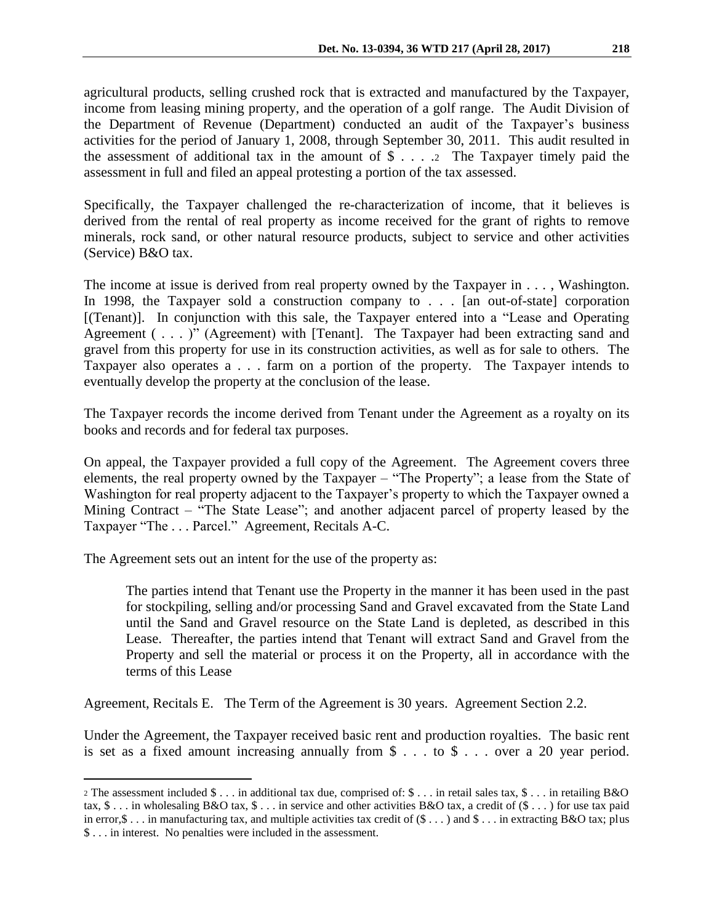agricultural products, selling crushed rock that is extracted and manufactured by the Taxpayer, income from leasing mining property, and the operation of a golf range. The Audit Division of the Department of Revenue (Department) conducted an audit of the Taxpayer's business activities for the period of January 1, 2008, through September 30, 2011. This audit resulted in the assessment of additional tax in the amount of  $\$\ldots$  2 The Taxpayer timely paid the assessment in full and filed an appeal protesting a portion of the tax assessed.

Specifically, the Taxpayer challenged the re-characterization of income, that it believes is derived from the rental of real property as income received for the grant of rights to remove minerals, rock sand, or other natural resource products, subject to service and other activities (Service) B&O tax.

The income at issue is derived from real property owned by the Taxpayer in . . . , Washington. In 1998, the Taxpayer sold a construction company to . . . [an out-of-state] corporation [(Tenant)]. In conjunction with this sale, the Taxpayer entered into a "Lease and Operating Agreement ( . . . )" (Agreement) with [Tenant]. The Taxpayer had been extracting sand and gravel from this property for use in its construction activities, as well as for sale to others. The Taxpayer also operates a . . . farm on a portion of the property. The Taxpayer intends to eventually develop the property at the conclusion of the lease.

The Taxpayer records the income derived from Tenant under the Agreement as a royalty on its books and records and for federal tax purposes.

On appeal, the Taxpayer provided a full copy of the Agreement. The Agreement covers three elements, the real property owned by the Taxpayer – "The Property"; a lease from the State of Washington for real property adjacent to the Taxpayer's property to which the Taxpayer owned a Mining Contract – "The State Lease"; and another adjacent parcel of property leased by the Taxpayer "The . . . Parcel." Agreement, Recitals A-C.

The Agreement sets out an intent for the use of the property as:

 $\overline{a}$ 

The parties intend that Tenant use the Property in the manner it has been used in the past for stockpiling, selling and/or processing Sand and Gravel excavated from the State Land until the Sand and Gravel resource on the State Land is depleted, as described in this Lease. Thereafter, the parties intend that Tenant will extract Sand and Gravel from the Property and sell the material or process it on the Property, all in accordance with the terms of this Lease

Agreement, Recitals E. The Term of the Agreement is 30 years. Agreement Section 2.2.

Under the Agreement, the Taxpayer received basic rent and production royalties. The basic rent is set as a fixed amount increasing annually from \$ . . . to \$ . . . over a 20 year period.

<sup>2</sup> The assessment included \$ . . . in additional tax due, comprised of: \$ . . . in retail sales tax, \$ . . . in retailing B&O tax,  $\$\dots$  in wholesaling B&O tax,  $\$\dots$  in service and other activities B&O tax, a credit of  $(\$\dots)$  for use tax paid in error, \$ . . . in manufacturing tax, and multiple activities tax credit of  $(\$ \dots)$  and  $\$ \dots$  in extracting B&O tax; plus \$ . . . in interest. No penalties were included in the assessment.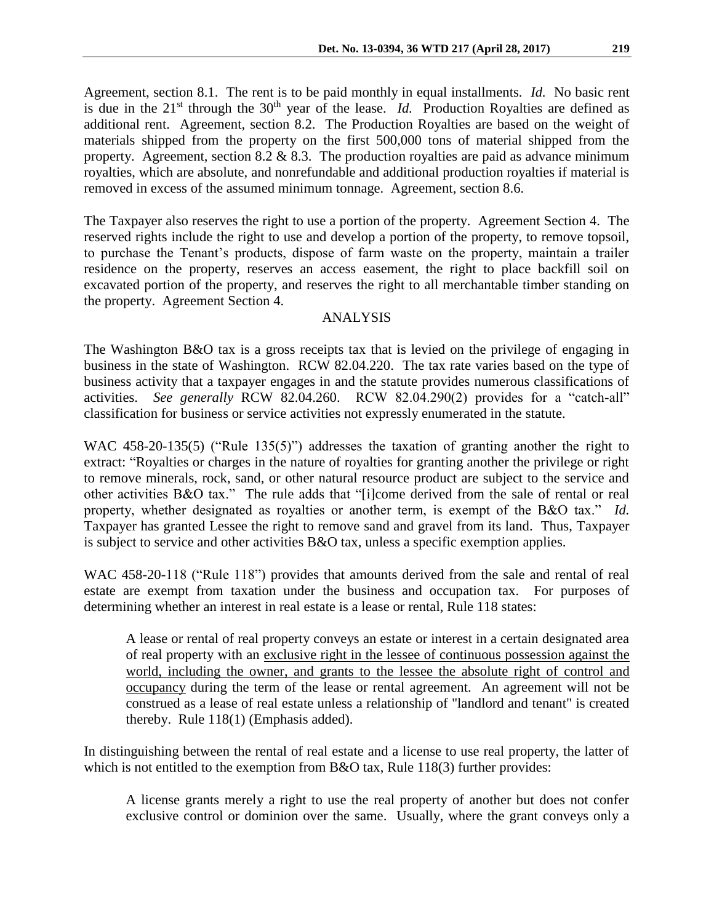Agreement, section 8.1. The rent is to be paid monthly in equal installments. *Id.* No basic rent is due in the  $21<sup>st</sup>$  through the  $30<sup>th</sup>$  year of the lease. *Id.* Production Royalties are defined as additional rent. Agreement, section 8.2. The Production Royalties are based on the weight of materials shipped from the property on the first 500,000 tons of material shipped from the property. Agreement, section 8.2  $& 8.3$ . The production royalties are paid as advance minimum royalties, which are absolute, and nonrefundable and additional production royalties if material is removed in excess of the assumed minimum tonnage. Agreement, section 8.6.

The Taxpayer also reserves the right to use a portion of the property. Agreement Section 4. The reserved rights include the right to use and develop a portion of the property, to remove topsoil, to purchase the Tenant's products, dispose of farm waste on the property, maintain a trailer residence on the property, reserves an access easement, the right to place backfill soil on excavated portion of the property, and reserves the right to all merchantable timber standing on the property. Agreement Section 4.

# ANALYSIS

The Washington B&O tax is a gross receipts tax that is levied on the privilege of engaging in business in the state of Washington. RCW 82.04.220. The tax rate varies based on the type of business activity that a taxpayer engages in and the statute provides numerous classifications of activities. *See generally* RCW 82.04.260. RCW 82.04.290(2) provides for a "catch-all" classification for business or service activities not expressly enumerated in the statute.

WAC 458-20-135(5) ("Rule 135(5)") addresses the taxation of granting another the right to extract: "Royalties or charges in the nature of royalties for granting another the privilege or right to remove minerals, rock, sand, or other natural resource product are subject to the service and other activities B&O tax." The rule adds that "[i]come derived from the sale of rental or real property, whether designated as royalties or another term, is exempt of the B&O tax." *Id.* Taxpayer has granted Lessee the right to remove sand and gravel from its land. Thus, Taxpayer is subject to service and other activities B&O tax, unless a specific exemption applies.

WAC 458-20-118 ("Rule 118") provides that amounts derived from the sale and rental of real estate are exempt from taxation under the business and occupation tax. For purposes of determining whether an interest in real estate is a lease or rental, Rule 118 states:

A lease or rental of real property conveys an estate or interest in a certain designated area of real property with an exclusive right in the lessee of continuous possession against the world, including the owner, and grants to the lessee the absolute right of control and occupancy during the term of the lease or rental agreement. An agreement will not be construed as a lease of real estate unless a relationship of "landlord and tenant" is created thereby. Rule 118(1) (Emphasis added).

In distinguishing between the rental of real estate and a license to use real property, the latter of which is not entitled to the exemption from B&O tax, Rule 118(3) further provides:

A license grants merely a right to use the real property of another but does not confer exclusive control or dominion over the same. Usually, where the grant conveys only a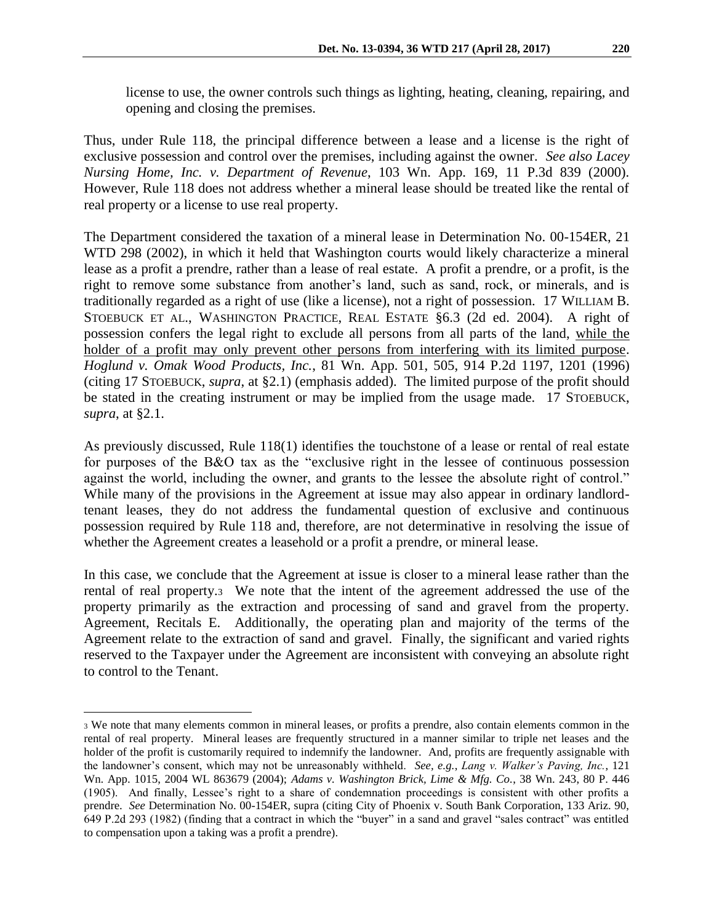license to use, the owner controls such things as lighting, heating, cleaning, repairing, and opening and closing the premises.

Thus, under Rule 118, the principal difference between a lease and a license is the right of exclusive possession and control over the premises, including against the owner. *See also Lacey Nursing Home, Inc. v. Department of Revenue*, 103 Wn. App. 169, 11 P.3d 839 (2000). However, Rule 118 does not address whether a mineral lease should be treated like the rental of real property or a license to use real property.

The Department considered the taxation of a mineral lease in Determination No. 00-154ER, 21 WTD 298 (2002), in which it held that Washington courts would likely characterize a mineral lease as a profit a prendre, rather than a lease of real estate. A profit a prendre, or a profit, is the right to remove some substance from another's land, such as sand, rock, or minerals, and is traditionally regarded as a right of use (like a license), not a right of possession. 17 WILLIAM B. STOEBUCK ET AL., WASHINGTON PRACTICE, REAL ESTATE §6.3 (2d ed. 2004). A right of possession confers the legal right to exclude all persons from all parts of the land, while the holder of a profit may only prevent other persons from interfering with its limited purpose. *Hoglund v. Omak Wood Products, Inc.*, 81 Wn. App. 501, 505, 914 P.2d 1197, 1201 (1996) (citing 17 STOEBUCK, *supra*, at §2.1) (emphasis added). The limited purpose of the profit should be stated in the creating instrument or may be implied from the usage made. 17 STOEBUCK, *supra*, at §2.1.

As previously discussed, Rule 118(1) identifies the touchstone of a lease or rental of real estate for purposes of the B&O tax as the "exclusive right in the lessee of continuous possession against the world, including the owner, and grants to the lessee the absolute right of control." While many of the provisions in the Agreement at issue may also appear in ordinary landlordtenant leases, they do not address the fundamental question of exclusive and continuous possession required by Rule 118 and, therefore, are not determinative in resolving the issue of whether the Agreement creates a leasehold or a profit a prendre, or mineral lease.

In this case, we conclude that the Agreement at issue is closer to a mineral lease rather than the rental of real property.3 We note that the intent of the agreement addressed the use of the property primarily as the extraction and processing of sand and gravel from the property. Agreement, Recitals E. Additionally, the operating plan and majority of the terms of the Agreement relate to the extraction of sand and gravel. Finally, the significant and varied rights reserved to the Taxpayer under the Agreement are inconsistent with conveying an absolute right to control to the Tenant.

 $\overline{a}$ 

<sup>3</sup> We note that many elements common in mineral leases, or profits a prendre, also contain elements common in the rental of real property. Mineral leases are frequently structured in a manner similar to triple net leases and the holder of the profit is customarily required to indemnify the landowner. And, profits are frequently assignable with the landowner's consent, which may not be unreasonably withheld. *See, e.g.*, *Lang v. Walker's Paving, Inc.*, 121 Wn. App. 1015, 2004 WL 863679 (2004); *Adams v. Washington Brick, Lime & Mfg. Co.*, 38 Wn. 243, 80 P. 446 (1905). And finally, Lessee's right to a share of condemnation proceedings is consistent with other profits a prendre. *See* Determination No. 00-154ER, supra (citing City of Phoenix v. South Bank Corporation, 133 Ariz. 90, 649 P.2d 293 (1982) (finding that a contract in which the "buyer" in a sand and gravel "sales contract" was entitled to compensation upon a taking was a profit a prendre).